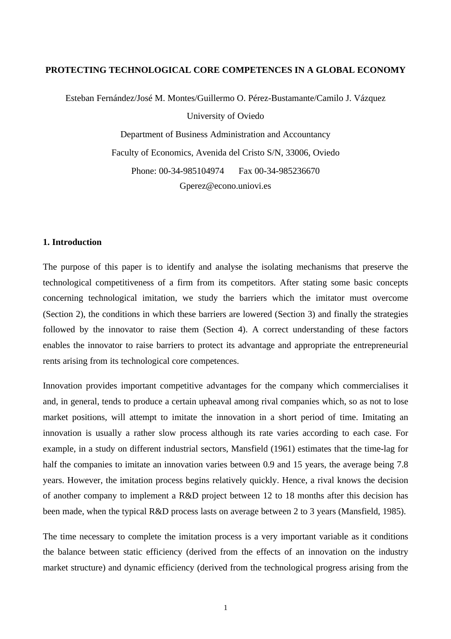## **PROTECTING TECHNOLOGICAL CORE COMPETENCES IN A GLOBAL ECONOMY**

Esteban Fernández/José M. Montes/Guillermo O. Pérez-Bustamante/Camilo J. Vázquez University of Oviedo

> Department of Business Administration and Accountancy Faculty of Economics, Avenida del Cristo S/N, 33006, Oviedo Phone: 00-34-985104974 Fax 00-34-985236670 Gperez@econo.uniovi.es

# **1. Introduction**

The purpose of this paper is to identify and analyse the isolating mechanisms that preserve the technological competitiveness of a firm from its competitors. After stating some basic concepts concerning technological imitation, we study the barriers which the imitator must overcome (Section 2), the conditions in which these barriers are lowered (Section 3) and finally the strategies followed by the innovator to raise them (Section 4). A correct understanding of these factors enables the innovator to raise barriers to protect its advantage and appropriate the entrepreneurial rents arising from its technological core competences.

Innovation provides important competitive advantages for the company which commercialises it and, in general, tends to produce a certain upheaval among rival companies which, so as not to lose market positions, will attempt to imitate the innovation in a short period of time. Imitating an innovation is usually a rather slow process although its rate varies according to each case. For example, in a study on different industrial sectors, Mansfield (1961) estimates that the time-lag for half the companies to imitate an innovation varies between 0.9 and 15 years, the average being 7.8 years. However, the imitation process begins relatively quickly. Hence, a rival knows the decision of another company to implement a R&D project between 12 to 18 months after this decision has been made, when the typical R&D process lasts on average between 2 to 3 years (Mansfield, 1985).

The time necessary to complete the imitation process is a very important variable as it conditions the balance between static efficiency (derived from the effects of an innovation on the industry market structure) and dynamic efficiency (derived from the technological progress arising from the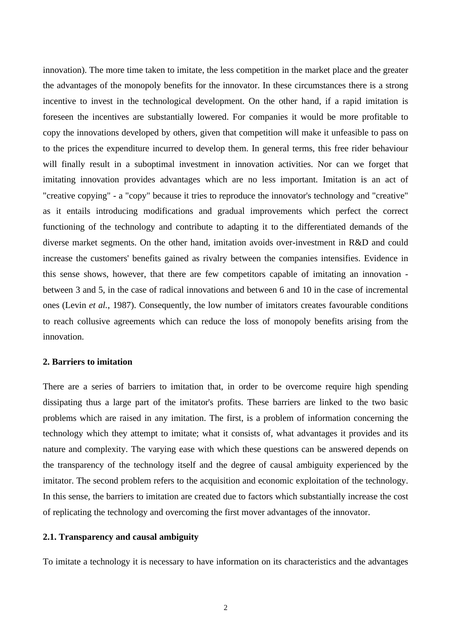innovation). The more time taken to imitate, the less competition in the market place and the greater the advantages of the monopoly benefits for the innovator. In these circumstances there is a strong incentive to invest in the technological development. On the other hand, if a rapid imitation is foreseen the incentives are substantially lowered. For companies it would be more profitable to copy the innovations developed by others, given that competition will make it unfeasible to pass on to the prices the expenditure incurred to develop them. In general terms, this free rider behaviour will finally result in a suboptimal investment in innovation activities. Nor can we forget that imitating innovation provides advantages which are no less important. Imitation is an act of "creative copying" - a "copy" because it tries to reproduce the innovator's technology and "creative" as it entails introducing modifications and gradual improvements which perfect the correct functioning of the technology and contribute to adapting it to the differentiated demands of the diverse market segments. On the other hand, imitation avoids over-investment in R&D and could increase the customers' benefits gained as rivalry between the companies intensifies. Evidence in this sense shows, however, that there are few competitors capable of imitating an innovation between 3 and 5, in the case of radical innovations and between 6 and 10 in the case of incremental ones (Levin *et al.*, 1987). Consequently, the low number of imitators creates favourable conditions to reach collusive agreements which can reduce the loss of monopoly benefits arising from the innovation.

# **2. Barriers to imitation**

There are a series of barriers to imitation that, in order to be overcome require high spending dissipating thus a large part of the imitator's profits. These barriers are linked to the two basic problems which are raised in any imitation. The first, is a problem of information concerning the technology which they attempt to imitate; what it consists of, what advantages it provides and its nature and complexity. The varying ease with which these questions can be answered depends on the transparency of the technology itself and the degree of causal ambiguity experienced by the imitator. The second problem refers to the acquisition and economic exploitation of the technology. In this sense, the barriers to imitation are created due to factors which substantially increase the cost of replicating the technology and overcoming the first mover advantages of the innovator.

## **2.1. Transparency and causal ambiguity**

To imitate a technology it is necessary to have information on its characteristics and the advantages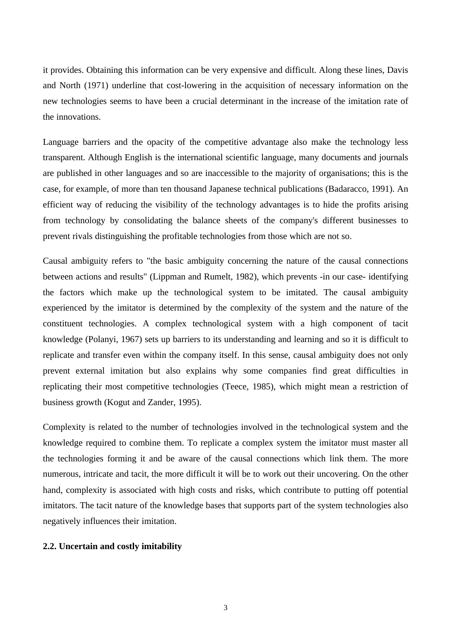it provides. Obtaining this information can be very expensive and difficult. Along these lines, Davis and North (1971) underline that cost-lowering in the acquisition of necessary information on the new technologies seems to have been a crucial determinant in the increase of the imitation rate of the innovations.

Language barriers and the opacity of the competitive advantage also make the technology less transparent. Although English is the international scientific language, many documents and journals are published in other languages and so are inaccessible to the majority of organisations; this is the case, for example, of more than ten thousand Japanese technical publications (Badaracco, 1991). An efficient way of reducing the visibility of the technology advantages is to hide the profits arising from technology by consolidating the balance sheets of the company's different businesses to prevent rivals distinguishing the profitable technologies from those which are not so.

Causal ambiguity refers to "the basic ambiguity concerning the nature of the causal connections between actions and results" (Lippman and Rumelt, 1982), which prevents -in our case- identifying the factors which make up the technological system to be imitated. The causal ambiguity experienced by the imitator is determined by the complexity of the system and the nature of the constituent technologies. A complex technological system with a high component of tacit knowledge (Polanyi, 1967) sets up barriers to its understanding and learning and so it is difficult to replicate and transfer even within the company itself. In this sense, causal ambiguity does not only prevent external imitation but also explains why some companies find great difficulties in replicating their most competitive technologies (Teece, 1985), which might mean a restriction of business growth (Kogut and Zander, 1995).

Complexity is related to the number of technologies involved in the technological system and the knowledge required to combine them. To replicate a complex system the imitator must master all the technologies forming it and be aware of the causal connections which link them. The more numerous, intricate and tacit, the more difficult it will be to work out their uncovering. On the other hand, complexity is associated with high costs and risks, which contribute to putting off potential imitators. The tacit nature of the knowledge bases that supports part of the system technologies also negatively influences their imitation.

## **2.2. Uncertain and costly imitability**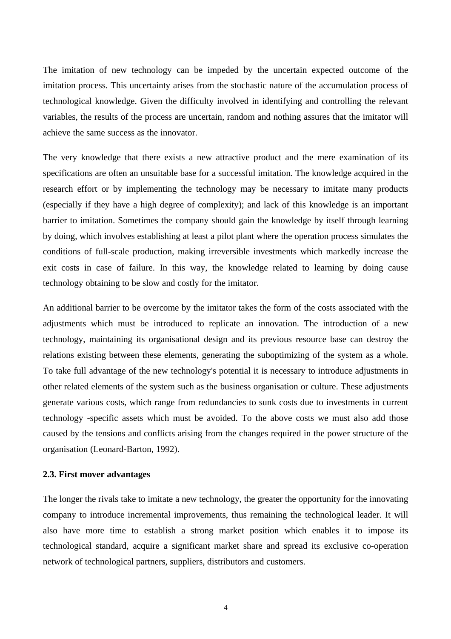The imitation of new technology can be impeded by the uncertain expected outcome of the imitation process. This uncertainty arises from the stochastic nature of the accumulation process of technological knowledge. Given the difficulty involved in identifying and controlling the relevant variables, the results of the process are uncertain, random and nothing assures that the imitator will achieve the same success as the innovator.

The very knowledge that there exists a new attractive product and the mere examination of its specifications are often an unsuitable base for a successful imitation. The knowledge acquired in the research effort or by implementing the technology may be necessary to imitate many products (especially if they have a high degree of complexity); and lack of this knowledge is an important barrier to imitation. Sometimes the company should gain the knowledge by itself through learning by doing, which involves establishing at least a pilot plant where the operation process simulates the conditions of full-scale production, making irreversible investments which markedly increase the exit costs in case of failure. In this way, the knowledge related to learning by doing cause technology obtaining to be slow and costly for the imitator.

An additional barrier to be overcome by the imitator takes the form of the costs associated with the adjustments which must be introduced to replicate an innovation. The introduction of a new technology, maintaining its organisational design and its previous resource base can destroy the relations existing between these elements, generating the suboptimizing of the system as a whole. To take full advantage of the new technology's potential it is necessary to introduce adjustments in other related elements of the system such as the business organisation or culture. These adjustments generate various costs, which range from redundancies to sunk costs due to investments in current technology -specific assets which must be avoided. To the above costs we must also add those caused by the tensions and conflicts arising from the changes required in the power structure of the organisation (Leonard-Barton, 1992).

#### **2.3. First mover advantages**

The longer the rivals take to imitate a new technology, the greater the opportunity for the innovating company to introduce incremental improvements, thus remaining the technological leader. It will also have more time to establish a strong market position which enables it to impose its technological standard, acquire a significant market share and spread its exclusive co-operation network of technological partners, suppliers, distributors and customers.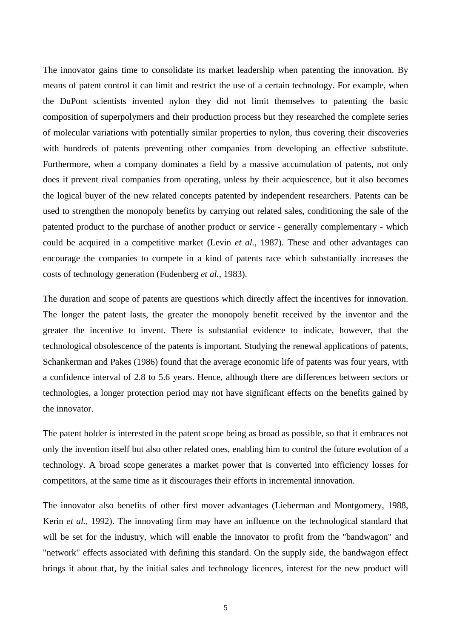The innovator gains time to consolidate its market leadership when patenting the innovation. By means of patent control it can limit and restrict the use of a certain technology. For example, when the DuPont scientists invented nylon they did not limit themselves to patenting the basic composition of superpolymers and their production process but they researched the complete series of molecular variations with potentially similar properties to nylon, thus covering their discoveries with hundreds of patents preventing other companies from developing an effective substitute. Furthermore, when a company dominates a field by a massive accumulation of patents, not only does it prevent rival companies from operating, unless by their acquiescence, but it also becomes the logical buyer of the new related concepts patented by independent researchers. Patents can be used to strengthen the monopoly benefits by carrying out related sales, conditioning the sale of the patented product to the purchase of another product or service - generally complementary - which could be acquired in a competitive market (Levin *et al.*, 1987). These and other advantages can encourage the companies to compete in a kind of patents race which substantially increases the costs of technology generation (Fudenberg *et al.*, 1983).

The duration and scope of patents are questions which directly affect the incentives for innovation. The longer the patent lasts, the greater the monopoly benefit received by the inventor and the greater the incentive to invent. There is substantial evidence to indicate, however, that the technological obsolescence of the patents is important. Studying the renewal applications of patents, Schankerman and Pakes (1986) found that the average economic life of patents was four years, with a confidence interval of 2.8 to 5.6 years. Hence, although there are differences between sectors or technologies, a longer protection period may not have significant effects on the benefits gained by the innovator.

The patent holder is interested in the patent scope being as broad as possible, so that it embraces not only the invention itself but also other related ones, enabling him to control the future evolution of a technology. A broad scope generates a market power that is converted into efficiency losses for competitors, at the same time as it discourages their efforts in incremental innovation.

The innovator also benefits of other first mover advantages (Lieberman and Montgomery, 1988, Kerin *et al.*, 1992). The innovating firm may have an influence on the technological standard that will be set for the industry, which will enable the innovator to profit from the "bandwagon" and "network" effects associated with defining this standard. On the supply side, the bandwagon effect brings it about that, by the initial sales and technology licences, interest for the new product will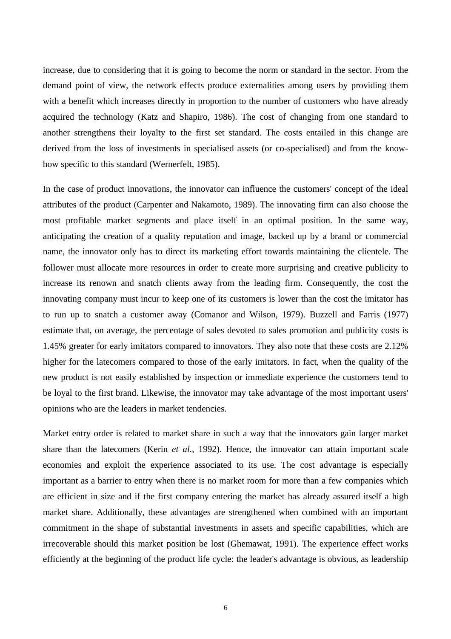increase, due to considering that it is going to become the norm or standard in the sector. From the demand point of view, the network effects produce externalities among users by providing them with a benefit which increases directly in proportion to the number of customers who have already acquired the technology (Katz and Shapiro, 1986). The cost of changing from one standard to another strengthens their loyalty to the first set standard. The costs entailed in this change are derived from the loss of investments in specialised assets (or co-specialised) and from the knowhow specific to this standard (Wernerfelt, 1985).

In the case of product innovations, the innovator can influence the customers' concept of the ideal attributes of the product (Carpenter and Nakamoto, 1989). The innovating firm can also choose the most profitable market segments and place itself in an optimal position. In the same way, anticipating the creation of a quality reputation and image, backed up by a brand or commercial name, the innovator only has to direct its marketing effort towards maintaining the clientele. The follower must allocate more resources in order to create more surprising and creative publicity to increase its renown and snatch clients away from the leading firm. Consequently, the cost the innovating company must incur to keep one of its customers is lower than the cost the imitator has to run up to snatch a customer away (Comanor and Wilson, 1979). Buzzell and Farris (1977) estimate that, on average, the percentage of sales devoted to sales promotion and publicity costs is 1.45% greater for early imitators compared to innovators. They also note that these costs are 2.12% higher for the latecomers compared to those of the early imitators. In fact, when the quality of the new product is not easily established by inspection or immediate experience the customers tend to be loyal to the first brand. Likewise, the innovator may take advantage of the most important users' opinions who are the leaders in market tendencies.

Market entry order is related to market share in such a way that the innovators gain larger market share than the latecomers (Kerin *et al.*, 1992). Hence, the innovator can attain important scale economies and exploit the experience associated to its use. The cost advantage is especially important as a barrier to entry when there is no market room for more than a few companies which are efficient in size and if the first company entering the market has already assured itself a high market share. Additionally, these advantages are strengthened when combined with an important commitment in the shape of substantial investments in assets and specific capabilities, which are irrecoverable should this market position be lost (Ghemawat, 1991). The experience effect works efficiently at the beginning of the product life cycle: the leader's advantage is obvious, as leadership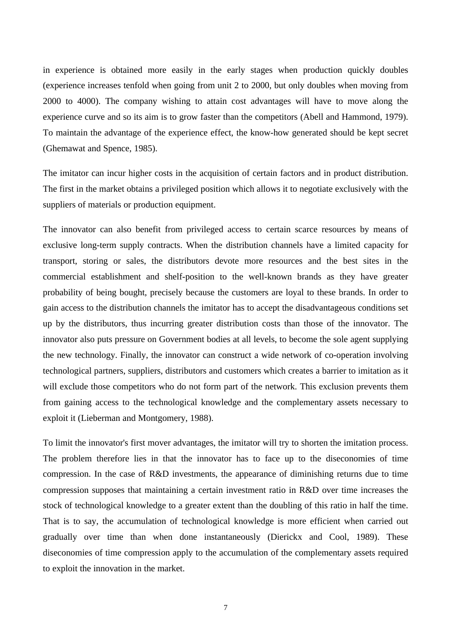in experience is obtained more easily in the early stages when production quickly doubles (experience increases tenfold when going from unit 2 to 2000, but only doubles when moving from 2000 to 4000). The company wishing to attain cost advantages will have to move along the experience curve and so its aim is to grow faster than the competitors (Abell and Hammond, 1979). To maintain the advantage of the experience effect, the know-how generated should be kept secret (Ghemawat and Spence, 1985).

The imitator can incur higher costs in the acquisition of certain factors and in product distribution. The first in the market obtains a privileged position which allows it to negotiate exclusively with the suppliers of materials or production equipment.

The innovator can also benefit from privileged access to certain scarce resources by means of exclusive long-term supply contracts. When the distribution channels have a limited capacity for transport, storing or sales, the distributors devote more resources and the best sites in the commercial establishment and shelf-position to the well-known brands as they have greater probability of being bought, precisely because the customers are loyal to these brands. In order to gain access to the distribution channels the imitator has to accept the disadvantageous conditions set up by the distributors, thus incurring greater distribution costs than those of the innovator. The innovator also puts pressure on Government bodies at all levels, to become the sole agent supplying the new technology. Finally, the innovator can construct a wide network of co-operation involving technological partners, suppliers, distributors and customers which creates a barrier to imitation as it will exclude those competitors who do not form part of the network. This exclusion prevents them from gaining access to the technological knowledge and the complementary assets necessary to exploit it (Lieberman and Montgomery, 1988).

To limit the innovator's first mover advantages, the imitator will try to shorten the imitation process. The problem therefore lies in that the innovator has to face up to the diseconomies of time compression. In the case of R&D investments, the appearance of diminishing returns due to time compression supposes that maintaining a certain investment ratio in R&D over time increases the stock of technological knowledge to a greater extent than the doubling of this ratio in half the time. That is to say, the accumulation of technological knowledge is more efficient when carried out gradually over time than when done instantaneously (Dierickx and Cool, 1989). These diseconomies of time compression apply to the accumulation of the complementary assets required to exploit the innovation in the market.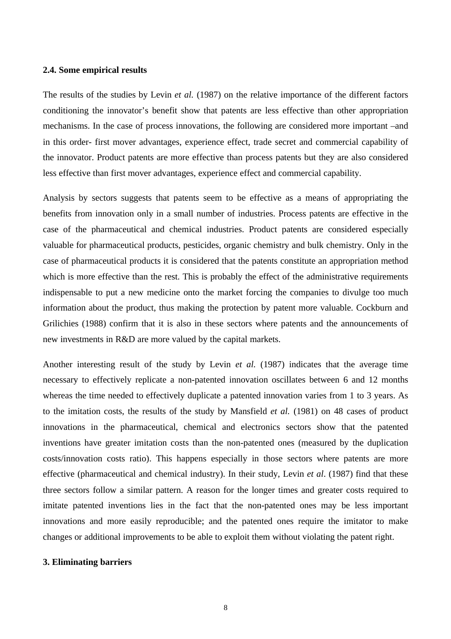## **2.4. Some empirical results**

The results of the studies by Levin *et al.* (1987) on the relative importance of the different factors conditioning the innovator's benefit show that patents are less effective than other appropriation mechanisms. In the case of process innovations, the following are considered more important –and in this order- first mover advantages, experience effect, trade secret and commercial capability of the innovator. Product patents are more effective than process patents but they are also considered less effective than first mover advantages, experience effect and commercial capability.

Analysis by sectors suggests that patents seem to be effective as a means of appropriating the benefits from innovation only in a small number of industries. Process patents are effective in the case of the pharmaceutical and chemical industries. Product patents are considered especially valuable for pharmaceutical products, pesticides, organic chemistry and bulk chemistry. Only in the case of pharmaceutical products it is considered that the patents constitute an appropriation method which is more effective than the rest. This is probably the effect of the administrative requirements indispensable to put a new medicine onto the market forcing the companies to divulge too much information about the product, thus making the protection by patent more valuable. Cockburn and Grilichies (1988) confirm that it is also in these sectors where patents and the announcements of new investments in R&D are more valued by the capital markets.

Another interesting result of the study by Levin *et al.* (1987) indicates that the average time necessary to effectively replicate a non-patented innovation oscillates between 6 and 12 months whereas the time needed to effectively duplicate a patented innovation varies from 1 to 3 years. As to the imitation costs, the results of the study by Mansfield *et al.* (1981) on 48 cases of product innovations in the pharmaceutical, chemical and electronics sectors show that the patented inventions have greater imitation costs than the non-patented ones (measured by the duplication costs/innovation costs ratio). This happens especially in those sectors where patents are more effective (pharmaceutical and chemical industry). In their study, Levin *et al*. (1987) find that these three sectors follow a similar pattern. A reason for the longer times and greater costs required to imitate patented inventions lies in the fact that the non-patented ones may be less important innovations and more easily reproducible; and the patented ones require the imitator to make changes or additional improvements to be able to exploit them without violating the patent right.

## **3. Eliminating barriers**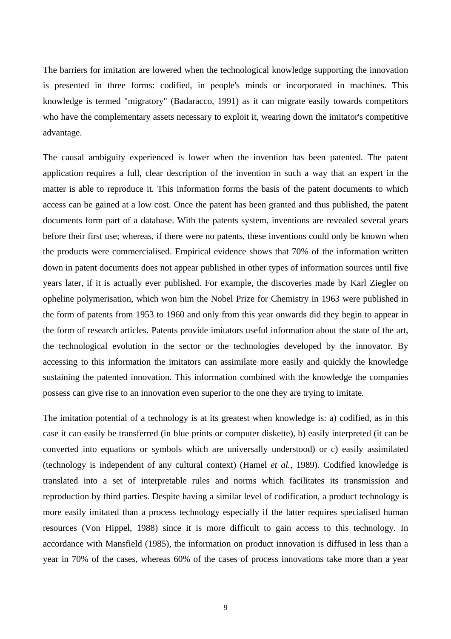The barriers for imitation are lowered when the technological knowledge supporting the innovation is presented in three forms: codified, in people's minds or incorporated in machines. This knowledge is termed "migratory" (Badaracco, 1991) as it can migrate easily towards competitors who have the complementary assets necessary to exploit it, wearing down the imitator's competitive advantage.

The causal ambiguity experienced is lower when the invention has been patented. The patent application requires a full, clear description of the invention in such a way that an expert in the matter is able to reproduce it. This information forms the basis of the patent documents to which access can be gained at a low cost. Once the patent has been granted and thus published, the patent documents form part of a database. With the patents system, inventions are revealed several years before their first use; whereas, if there were no patents, these inventions could only be known when the products were commercialised. Empirical evidence shows that 70% of the information written down in patent documents does not appear published in other types of information sources until five years later, if it is actually ever published. For example, the discoveries made by Karl Ziegler on opheline polymerisation, which won him the Nobel Prize for Chemistry in 1963 were published in the form of patents from 1953 to 1960 and only from this year onwards did they begin to appear in the form of research articles. Patents provide imitators useful information about the state of the art, the technological evolution in the sector or the technologies developed by the innovator. By accessing to this information the imitators can assimilate more easily and quickly the knowledge sustaining the patented innovation. This information combined with the knowledge the companies possess can give rise to an innovation even superior to the one they are trying to imitate.

The imitation potential of a technology is at its greatest when knowledge is: a) codified, as in this case it can easily be transferred (in blue prints or computer diskette), b) easily interpreted (it can be converted into equations or symbols which are universally understood) or c) easily assimilated (technology is independent of any cultural context) (Hamel *et al.*, 1989). Codified knowledge is translated into a set of interpretable rules and norms which facilitates its transmission and reproduction by third parties. Despite having a similar level of codification, a product technology is more easily imitated than a process technology especially if the latter requires specialised human resources (Von Hippel, 1988) since it is more difficult to gain access to this technology. In accordance with Mansfield (1985), the information on product innovation is diffused in less than a year in 70% of the cases, whereas 60% of the cases of process innovations take more than a year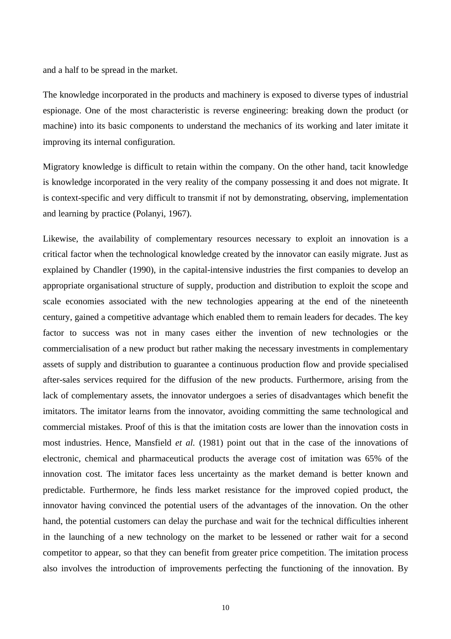and a half to be spread in the market.

The knowledge incorporated in the products and machinery is exposed to diverse types of industrial espionage. One of the most characteristic is reverse engineering: breaking down the product (or machine) into its basic components to understand the mechanics of its working and later imitate it improving its internal configuration.

Migratory knowledge is difficult to retain within the company. On the other hand, tacit knowledge is knowledge incorporated in the very reality of the company possessing it and does not migrate. It is context-specific and very difficult to transmit if not by demonstrating, observing, implementation and learning by practice (Polanyi, 1967).

Likewise, the availability of complementary resources necessary to exploit an innovation is a critical factor when the technological knowledge created by the innovator can easily migrate. Just as explained by Chandler (1990), in the capital-intensive industries the first companies to develop an appropriate organisational structure of supply, production and distribution to exploit the scope and scale economies associated with the new technologies appearing at the end of the nineteenth century, gained a competitive advantage which enabled them to remain leaders for decades. The key factor to success was not in many cases either the invention of new technologies or the commercialisation of a new product but rather making the necessary investments in complementary assets of supply and distribution to guarantee a continuous production flow and provide specialised after-sales services required for the diffusion of the new products. Furthermore, arising from the lack of complementary assets, the innovator undergoes a series of disadvantages which benefit the imitators. The imitator learns from the innovator, avoiding committing the same technological and commercial mistakes. Proof of this is that the imitation costs are lower than the innovation costs in most industries. Hence, Mansfield *et al.* (1981) point out that in the case of the innovations of electronic, chemical and pharmaceutical products the average cost of imitation was 65% of the innovation cost. The imitator faces less uncertainty as the market demand is better known and predictable. Furthermore, he finds less market resistance for the improved copied product, the innovator having convinced the potential users of the advantages of the innovation. On the other hand, the potential customers can delay the purchase and wait for the technical difficulties inherent in the launching of a new technology on the market to be lessened or rather wait for a second competitor to appear, so that they can benefit from greater price competition. The imitation process also involves the introduction of improvements perfecting the functioning of the innovation. By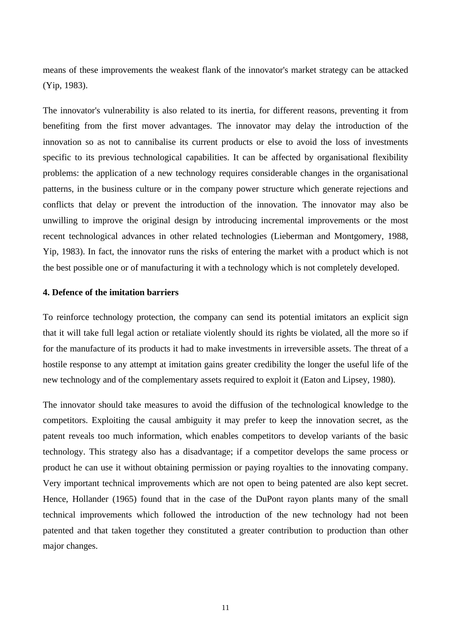means of these improvements the weakest flank of the innovator's market strategy can be attacked (Yip, 1983).

The innovator's vulnerability is also related to its inertia, for different reasons, preventing it from benefiting from the first mover advantages. The innovator may delay the introduction of the innovation so as not to cannibalise its current products or else to avoid the loss of investments specific to its previous technological capabilities. It can be affected by organisational flexibility problems: the application of a new technology requires considerable changes in the organisational patterns, in the business culture or in the company power structure which generate rejections and conflicts that delay or prevent the introduction of the innovation. The innovator may also be unwilling to improve the original design by introducing incremental improvements or the most recent technological advances in other related technologies (Lieberman and Montgomery, 1988, Yip, 1983). In fact, the innovator runs the risks of entering the market with a product which is not the best possible one or of manufacturing it with a technology which is not completely developed.

## **4. Defence of the imitation barriers**

To reinforce technology protection, the company can send its potential imitators an explicit sign that it will take full legal action or retaliate violently should its rights be violated, all the more so if for the manufacture of its products it had to make investments in irreversible assets. The threat of a hostile response to any attempt at imitation gains greater credibility the longer the useful life of the new technology and of the complementary assets required to exploit it (Eaton and Lipsey, 1980).

The innovator should take measures to avoid the diffusion of the technological knowledge to the competitors. Exploiting the causal ambiguity it may prefer to keep the innovation secret, as the patent reveals too much information, which enables competitors to develop variants of the basic technology. This strategy also has a disadvantage; if a competitor develops the same process or product he can use it without obtaining permission or paying royalties to the innovating company. Very important technical improvements which are not open to being patented are also kept secret. Hence, Hollander (1965) found that in the case of the DuPont rayon plants many of the small technical improvements which followed the introduction of the new technology had not been patented and that taken together they constituted a greater contribution to production than other major changes.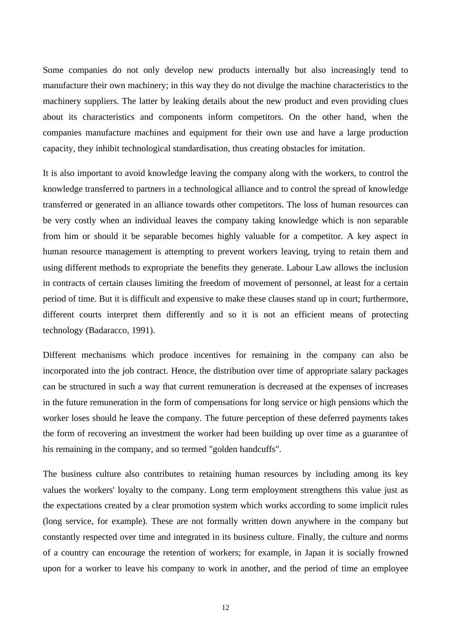Some companies do not only develop new products internally but also increasingly tend to manufacture their own machinery; in this way they do not divulge the machine characteristics to the machinery suppliers. The latter by leaking details about the new product and even providing clues about its characteristics and components inform competitors. On the other hand, when the companies manufacture machines and equipment for their own use and have a large production capacity, they inhibit technological standardisation, thus creating obstacles for imitation.

It is also important to avoid knowledge leaving the company along with the workers, to control the knowledge transferred to partners in a technological alliance and to control the spread of knowledge transferred or generated in an alliance towards other competitors. The loss of human resources can be very costly when an individual leaves the company taking knowledge which is non separable from him or should it be separable becomes highly valuable for a competitor. A key aspect in human resource management is attempting to prevent workers leaving, trying to retain them and using different methods to expropriate the benefits they generate. Labour Law allows the inclusion in contracts of certain clauses limiting the freedom of movement of personnel, at least for a certain period of time. But it is difficult and expensive to make these clauses stand up in court; furthermore, different courts interpret them differently and so it is not an efficient means of protecting technology (Badaracco, 1991).

Different mechanisms which produce incentives for remaining in the company can also be incorporated into the job contract. Hence, the distribution over time of appropriate salary packages can be structured in such a way that current remuneration is decreased at the expenses of increases in the future remuneration in the form of compensations for long service or high pensions which the worker loses should he leave the company. The future perception of these deferred payments takes the form of recovering an investment the worker had been building up over time as a guarantee of his remaining in the company, and so termed "golden handcuffs".

The business culture also contributes to retaining human resources by including among its key values the workers' loyalty to the company. Long term employment strengthens this value just as the expectations created by a clear promotion system which works according to some implicit rules (long service, for example). These are not formally written down anywhere in the company but constantly respected over time and integrated in its business culture. Finally, the culture and norms of a country can encourage the retention of workers; for example, in Japan it is socially frowned upon for a worker to leave his company to work in another, and the period of time an employee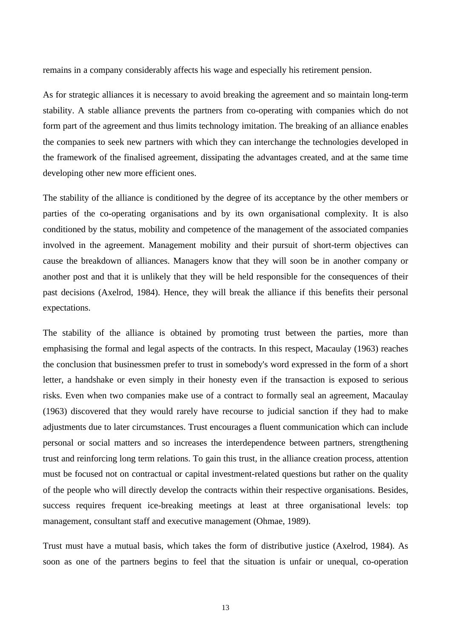remains in a company considerably affects his wage and especially his retirement pension.

As for strategic alliances it is necessary to avoid breaking the agreement and so maintain long-term stability. A stable alliance prevents the partners from co-operating with companies which do not form part of the agreement and thus limits technology imitation. The breaking of an alliance enables the companies to seek new partners with which they can interchange the technologies developed in the framework of the finalised agreement, dissipating the advantages created, and at the same time developing other new more efficient ones.

The stability of the alliance is conditioned by the degree of its acceptance by the other members or parties of the co-operating organisations and by its own organisational complexity. It is also conditioned by the status, mobility and competence of the management of the associated companies involved in the agreement. Management mobility and their pursuit of short-term objectives can cause the breakdown of alliances. Managers know that they will soon be in another company or another post and that it is unlikely that they will be held responsible for the consequences of their past decisions (Axelrod, 1984). Hence, they will break the alliance if this benefits their personal expectations.

The stability of the alliance is obtained by promoting trust between the parties, more than emphasising the formal and legal aspects of the contracts. In this respect, Macaulay (1963) reaches the conclusion that businessmen prefer to trust in somebody's word expressed in the form of a short letter, a handshake or even simply in their honesty even if the transaction is exposed to serious risks. Even when two companies make use of a contract to formally seal an agreement, Macaulay (1963) discovered that they would rarely have recourse to judicial sanction if they had to make adjustments due to later circumstances. Trust encourages a fluent communication which can include personal or social matters and so increases the interdependence between partners, strengthening trust and reinforcing long term relations. To gain this trust, in the alliance creation process, attention must be focused not on contractual or capital investment-related questions but rather on the quality of the people who will directly develop the contracts within their respective organisations. Besides, success requires frequent ice-breaking meetings at least at three organisational levels: top management, consultant staff and executive management (Ohmae, 1989).

Trust must have a mutual basis, which takes the form of distributive justice (Axelrod, 1984). As soon as one of the partners begins to feel that the situation is unfair or unequal, co-operation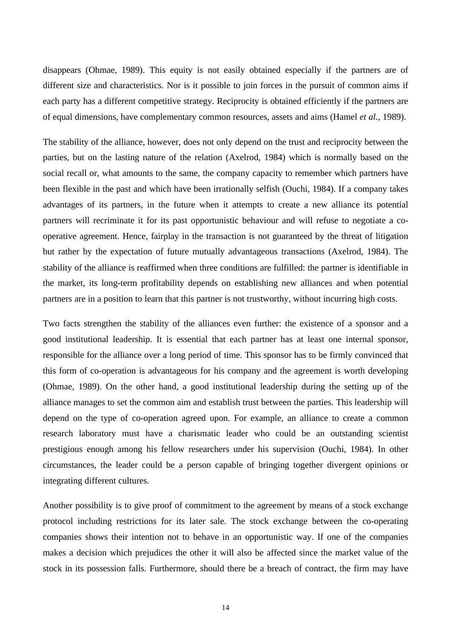disappears (Ohmae, 1989). This equity is not easily obtained especially if the partners are of different size and characteristics. Nor is it possible to join forces in the pursuit of common aims if each party has a different competitive strategy. Reciprocity is obtained efficiently if the partners are of equal dimensions, have complementary common resources, assets and aims (Hamel *et al.*, 1989).

The stability of the alliance, however, does not only depend on the trust and reciprocity between the parties, but on the lasting nature of the relation (Axelrod, 1984) which is normally based on the social recall or, what amounts to the same, the company capacity to remember which partners have been flexible in the past and which have been irrationally selfish (Ouchi, 1984). If a company takes advantages of its partners, in the future when it attempts to create a new alliance its potential partners will recriminate it for its past opportunistic behaviour and will refuse to negotiate a cooperative agreement. Hence, fairplay in the transaction is not guaranteed by the threat of litigation but rather by the expectation of future mutually advantageous transactions (Axelrod, 1984). The stability of the alliance is reaffirmed when three conditions are fulfilled: the partner is identifiable in the market, its long-term profitability depends on establishing new alliances and when potential partners are in a position to learn that this partner is not trustworthy, without incurring high costs.

Two facts strengthen the stability of the alliances even further: the existence of a sponsor and a good institutional leadership. It is essential that each partner has at least one internal sponsor, responsible for the alliance over a long period of time. This sponsor has to be firmly convinced that this form of co-operation is advantageous for his company and the agreement is worth developing (Ohmae, 1989). On the other hand, a good institutional leadership during the setting up of the alliance manages to set the common aim and establish trust between the parties. This leadership will depend on the type of co-operation agreed upon. For example, an alliance to create a common research laboratory must have a charismatic leader who could be an outstanding scientist prestigious enough among his fellow researchers under his supervision (Ouchi, 1984). In other circumstances, the leader could be a person capable of bringing together divergent opinions or integrating different cultures.

Another possibility is to give proof of commitment to the agreement by means of a stock exchange protocol including restrictions for its later sale. The stock exchange between the co-operating companies shows their intention not to behave in an opportunistic way. If one of the companies makes a decision which prejudices the other it will also be affected since the market value of the stock in its possession falls. Furthermore, should there be a breach of contract, the firm may have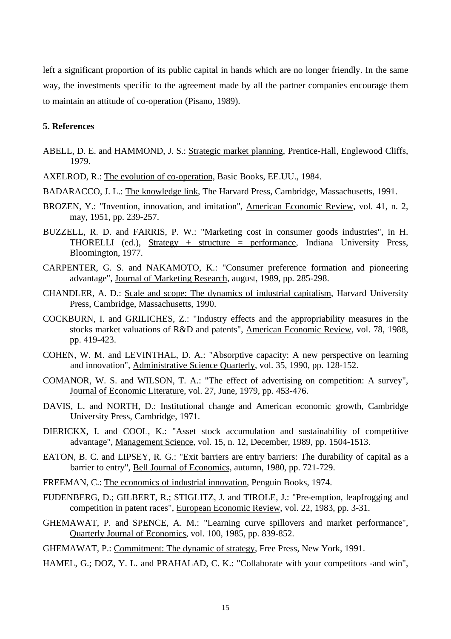left a significant proportion of its public capital in hands which are no longer friendly. In the same way, the investments specific to the agreement made by all the partner companies encourage them to maintain an attitude of co-operation (Pisano, 1989).

# **5. References**

- ABELL, D. E. and HAMMOND, J. S.: Strategic market planning, Prentice-Hall, Englewood Cliffs, 1979.
- AXELROD, R.: The evolution of co-operation, Basic Books, EE.UU., 1984.
- BADARACCO, J. L.: The knowledge link, The Harvard Press, Cambridge, Massachusetts, 1991.
- BROZEN, Y.: "Invention, innovation, and imitation", American Economic Review, vol. 41, n. 2, may, 1951, pp. 239-257.
- BUZZELL, R. D. and FARRIS, P. W.: "Marketing cost in consumer goods industries", in H. THORELLI (ed.),  $Strategy + structure = performance$ , Indiana University Press, Bloomington, 1977.
- CARPENTER, G. S. and NAKAMOTO, K.: "Consumer preference formation and pioneering advantage", Journal of Marketing Research, august, 1989, pp. 285-298.
- CHANDLER, A. D.: Scale and scope: The dynamics of industrial capitalism, Harvard University Press, Cambridge, Massachusetts, 1990.
- COCKBURN, I. and GRILICHES, Z.: "Industry effects and the appropriability measures in the stocks market valuations of R&D and patents", American Economic Review, vol. 78, 1988, pp. 419-423.
- COHEN, W. M. and LEVINTHAL, D. A.: "Absorptive capacity: A new perspective on learning and innovation", Administrative Science Quarterly, vol. 35, 1990, pp. 128-152.
- COMANOR, W. S. and WILSON, T. A.: "The effect of advertising on competition: A survey", Journal of Economic Literature, vol. 27, June, 1979, pp. 453-476.
- DAVIS, L. and NORTH, D.: Institutional change and American economic growth, Cambridge University Press, Cambridge, 1971.
- DIERICKX, I. and COOL, K.: "Asset stock accumulation and sustainability of competitive advantage", Management Science, vol. 15, n. 12, December, 1989, pp. 1504-1513.
- EATON, B. C. and LIPSEY, R. G.: "Exit barriers are entry barriers: The durability of capital as a barrier to entry", Bell Journal of Economics, autumn, 1980, pp. 721-729.
- FREEMAN, C.: The economics of industrial innovation, Penguin Books, 1974.
- FUDENBERG, D.; GILBERT, R.; STIGLITZ, J. and TIROLE, J.: "Pre-emption, leapfrogging and competition in patent races", European Economic Review, vol. 22, 1983, pp. 3-31.
- GHEMAWAT, P. and SPENCE, A. M.: "Learning curve spillovers and market performance", Quarterly Journal of Economics, vol. 100, 1985, pp. 839-852.
- GHEMAWAT, P.: Commitment: The dynamic of strategy, Free Press, New York, 1991.
- HAMEL, G.; DOZ, Y. L. and PRAHALAD, C. K.: "Collaborate with your competitors -and win",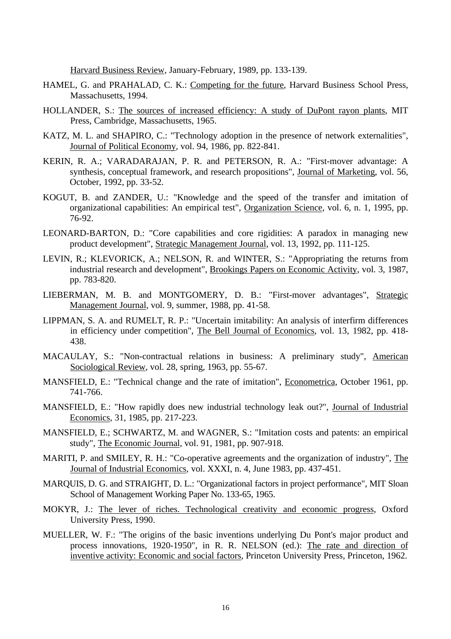Harvard Business Review, January-February, 1989, pp. 133-139.

- HAMEL, G. and PRAHALAD, C. K.: Competing for the future, Harvard Business School Press, Massachusetts, 1994.
- HOLLANDER, S.: The sources of increased efficiency: A study of DuPont rayon plants, MIT Press, Cambridge, Massachusetts, 1965.
- KATZ, M. L. and SHAPIRO, C.: "Technology adoption in the presence of network externalities", Journal of Political Economy, vol. 94, 1986, pp. 822-841.
- KERIN, R. A.; VARADARAJAN, P. R. and PETERSON, R. A.: "First-mover advantage: A synthesis, conceptual framework, and research propositions", Journal of Marketing, vol. 56, October, 1992, pp. 33-52.
- KOGUT, B. and ZANDER, U.: "Knowledge and the speed of the transfer and imitation of organizational capabilities: An empirical test", Organization Science, vol. 6, n. 1, 1995, pp. 76-92.
- LEONARD-BARTON, D.: "Core capabilities and core rigidities: A paradox in managing new product development", Strategic Management Journal, vol. 13, 1992, pp. 111-125.
- LEVIN, R.; KLEVORICK, A.; NELSON, R. and WINTER, S.: "Appropriating the returns from industrial research and development", Brookings Papers on Economic Activity, vol. 3, 1987, pp. 783-820.
- LIEBERMAN, M. B. and MONTGOMERY, D. B.: "First-mover advantages", Strategic Management Journal, vol. 9, summer, 1988, pp. 41-58.
- LIPPMAN, S. A. and RUMELT, R. P.: "Uncertain imitability: An analysis of interfirm differences in efficiency under competition", The Bell Journal of Economics, vol. 13, 1982, pp. 418- 438.
- MACAULAY, S.: "Non-contractual relations in business: A preliminary study", American Sociological Review, vol. 28, spring, 1963, pp. 55-67.
- MANSFIELD, E.: "Technical change and the rate of imitation", Econometrica, October 1961, pp. 741-766.
- MANSFIELD, E.: "How rapidly does new industrial technology leak out?", Journal of Industrial Economics, 31, 1985, pp. 217-223.
- MANSFIELD, E.; SCHWARTZ, M. and WAGNER, S.: "Imitation costs and patents: an empirical study", The Economic Journal, vol. 91, 1981, pp. 907-918.
- MARITI, P. and SMILEY, R. H.: "Co-operative agreements and the organization of industry", The Journal of Industrial Economics*,* vol. XXXI, n. 4, June 1983, pp. 437-451.
- MARQUIS, D. G. and STRAIGHT, D. L.: "Organizational factors in project performance", MIT Sloan School of Management Working Paper No. 133-65, 1965.
- MOKYR, J.: The lever of riches. Technological creativity and economic progress, Oxford University Press, 1990.
- MUELLER, W. F.: "The origins of the basic inventions underlying Du Pont's major product and process innovations, 1920-1950", in R. R. NELSON (ed.): The rate and direction of inventive activity: Economic and social factors, Princeton University Press, Princeton, 1962.